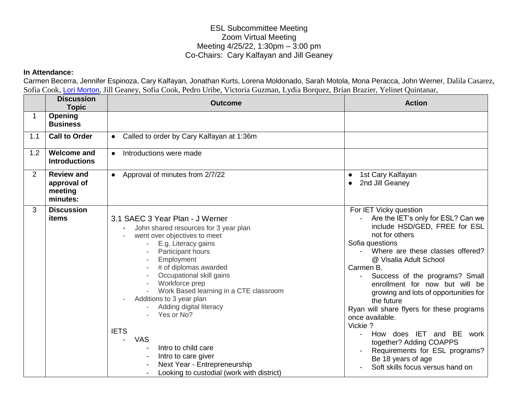## ESL Subcommittee Meeting Zoom Virtual Meeting Meeting 4/25/22, 1:30pm – 3:00 pm Co-Chairs: Cary Kalfayan and Jill Geaney

## **In Attendance:**

Carmen Becerra, Jennifer Espinoza, Cary Kalfayan, Jonathan Kurts, Lorena Moldonado, Sarah Motola, Mona Peracca, John Werner, Dalila Casarez, Sofia Cook, [Lori Morton](mailto:lori.morton@tcoe.org), Jill Geaney, Sofia Cook, Pedro Uribe, Victoria Guzman, Lydia Borquez, Brian Brazier, Yelinet Quintanar,

|     | <b>Discussion</b><br><b>Topic</b>                       | <b>Outcome</b>                                                                                                                                                                                                                                                                                                                                                                                                                                                                                                                     | <b>Action</b>                                                                                                                                                                                                                                                                                                                                                                                                                                                                                                                                                            |
|-----|---------------------------------------------------------|------------------------------------------------------------------------------------------------------------------------------------------------------------------------------------------------------------------------------------------------------------------------------------------------------------------------------------------------------------------------------------------------------------------------------------------------------------------------------------------------------------------------------------|--------------------------------------------------------------------------------------------------------------------------------------------------------------------------------------------------------------------------------------------------------------------------------------------------------------------------------------------------------------------------------------------------------------------------------------------------------------------------------------------------------------------------------------------------------------------------|
| 1   | Opening<br><b>Business</b>                              |                                                                                                                                                                                                                                                                                                                                                                                                                                                                                                                                    |                                                                                                                                                                                                                                                                                                                                                                                                                                                                                                                                                                          |
| 1.1 | <b>Call to Order</b>                                    | Called to order by Cary Kalfayan at 1:36m<br>$\bullet$                                                                                                                                                                                                                                                                                                                                                                                                                                                                             |                                                                                                                                                                                                                                                                                                                                                                                                                                                                                                                                                                          |
| 1.2 | <b>Welcome and</b><br><b>Introductions</b>              | Introductions were made<br>$\bullet$                                                                                                                                                                                                                                                                                                                                                                                                                                                                                               |                                                                                                                                                                                                                                                                                                                                                                                                                                                                                                                                                                          |
| 2   | <b>Review and</b><br>approval of<br>meeting<br>minutes: | Approval of minutes from 2/7/22<br>$\bullet$                                                                                                                                                                                                                                                                                                                                                                                                                                                                                       | 1st Cary Kalfayan<br>$\bullet$<br>2nd Jill Geaney<br>$\bullet$                                                                                                                                                                                                                                                                                                                                                                                                                                                                                                           |
| 3   | <b>Discussion</b><br>items                              | 3.1 SAEC 3 Year Plan - J Werner<br>John shared resources for 3 year plan<br>$\blacksquare$<br>went over objectives to meet<br>E.g. Literacy gains<br>Participant hours<br>Employment<br># of diplomas awarded<br>Occupational skill gains<br>Workforce prep<br>Work Based learning in a CTE classroom<br>Additions to 3 year plan<br>Adding digital literacy<br>Yes or No?<br><b>IETS</b><br><b>VAS</b><br>Intro to child care<br>Intro to care giver<br>Next Year - Entrepreneurship<br>Looking to custodial (work with district) | For IET Vicky question<br>Are the IET's only for ESL? Can we<br>include HSD/GED, FREE for ESL<br>not for others<br>Sofia questions<br>- Where are these classes offered?<br>@ Visalia Adult School<br>Carmen B.<br>Success of the programs? Small<br>enrollment for now but will be<br>growing and lots of opportunities for<br>the future<br>Ryan will share flyers for these programs<br>once available.<br>Vickie?<br>How does IET and BE work<br>together? Adding COAPPS<br>Requirements for ESL programs?<br>Be 18 years of age<br>Soft skills focus versus hand on |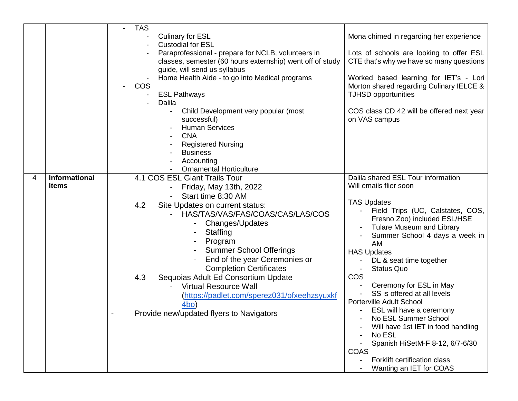| <b>Culinary for ESL</b><br>Mona chimed in regarding her experience                                    |  |
|-------------------------------------------------------------------------------------------------------|--|
|                                                                                                       |  |
| <b>Custodial for ESL</b>                                                                              |  |
| Paraprofessional - prepare for NCLB, volunteers in<br>Lots of schools are looking to offer ESL        |  |
| classes, semester (60 hours externship) went off of study<br>CTE that's why we have so many questions |  |
| guide, will send us syllabus                                                                          |  |
| Home Health Aide - to go into Medical programs<br>Worked based learning for IET's - Lori              |  |
| <b>COS</b><br>Morton shared regarding Culinary IELCE &                                                |  |
| <b>ESL Pathways</b><br><b>TJHSD opportunities</b>                                                     |  |
| Dalila                                                                                                |  |
| COS class CD 42 will be offered next year<br>Child Development very popular (most                     |  |
| on VAS campus<br>successful)                                                                          |  |
| <b>Human Services</b>                                                                                 |  |
| <b>CNA</b>                                                                                            |  |
| <b>Registered Nursing</b>                                                                             |  |
| <b>Business</b>                                                                                       |  |
| Accounting<br><b>Ornamental Horticulture</b>                                                          |  |
| Informational<br>Dalila shared ESL Tour information<br>4                                              |  |
| 4.1 COS ESL Giant Trails Tour<br>Will emails flier soon<br><b>Items</b>                               |  |
| Friday, May 13th, 2022                                                                                |  |
| Start time 8:30 AM<br><b>TAS Updates</b>                                                              |  |
| 4.2<br>Site Updates on current status:<br>- Field Trips (UC, Calstates, COS,                          |  |
| HAS/TAS/VAS/FAS/COAS/CAS/LAS/COS<br>Fresno Zoo) included ESL/HSE                                      |  |
| Changes/Updates<br><b>Tulare Museum and Library</b>                                                   |  |
| Staffing<br>Summer School 4 days a week in                                                            |  |
| Program<br>AM                                                                                         |  |
| <b>Summer School Offerings</b><br><b>HAS Updates</b>                                                  |  |
| End of the year Ceremonies or<br>DL & seat time together                                              |  |
| <b>Completion Certificates</b><br><b>Status Quo</b><br>$\blacksquare$                                 |  |
| COS<br>4.3<br>Sequoias Adult Ed Consortium Update                                                     |  |
| Ceremony for ESL in May<br><b>Virtual Resource Wall</b>                                               |  |
| SS is offered at all levels<br>(https://padlet.com/sperez031/ofxeehzsyuxkf                            |  |
| Porterville Adult School<br>4bo)                                                                      |  |
| ESL will have a ceremony<br>Provide new/updated flyers to Navigators                                  |  |
| No ESL Summer School                                                                                  |  |
| Will have 1st IET in food handling                                                                    |  |
| No ESL<br>Spanish HiSetM-F 8-12, 6/7-6/30                                                             |  |
| <b>COAS</b>                                                                                           |  |
| Forklift certification class                                                                          |  |
| Wanting an IET for COAS                                                                               |  |